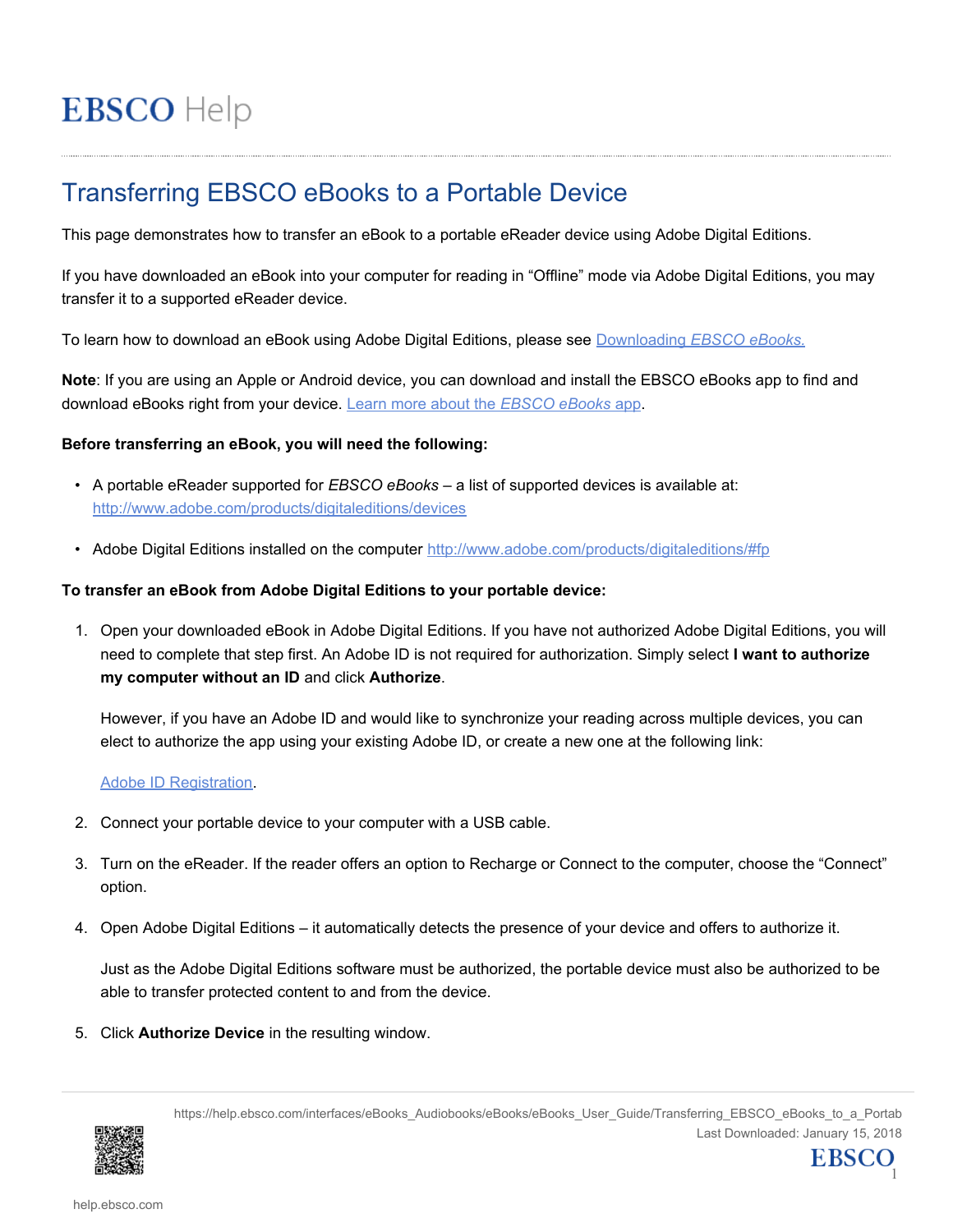# **EBSCO** Help

# Transferring EBSCO eBooks to a Portable Device

This page demonstrates how to transfer an eBook to a portable eReader device using Adobe Digital Editions.

If you have downloaded an eBook into your computer for reading in "Offline" mode via Adobe Digital Editions, you may transfer it to a supported eReader device.

To learn how to download an eBook using Adobe Digital Editions, please see Downloading *[EBSCO eBooks.](https://help.ebsco.com/interfaces/eBooks_Audiobooks/eBooks/eBooks_User_Guide/Checking_Out_and_Downloading_EBSCO_eBooks)*

**Note**: If you are using an Apple or Android device, you can download and install the EBSCO eBooks app to find and download eBooks right from your device. [Learn more about the](https://help.ebsco.com/interfaces/eBooks_Audiobooks/eBooks/EBSCO_eBooks_App/EBSCO_eBooks_App_FAQs) *EBSCO eBooks* app.

## **Before transferring an eBook, you will need the following:**

- A portable eReader supported for *EBSCO eBooks* a list of supported devices is available at: <http://www.adobe.com/products/digitaleditions/devices>
- Adobe Digital Editions installed on the computer <http://www.adobe.com/products/digitaleditions/#fp>

## **To transfer an eBook from Adobe Digital Editions to your portable device:**

1. Open your downloaded eBook in Adobe Digital Editions. If you have not authorized Adobe Digital Editions, you will need to complete that step first. An Adobe ID is not required for authorization. Simply select **I want to authorize my computer without an ID** and click **Authorize**.

However, if you have an Adobe ID and would like to synchronize your reading across multiple devices, you can elect to authorize the app using your existing Adobe ID, or create a new one at the following link:

#### [Adobe ID Registration](https://www.adobe.com/cfusion/membership/index.cfm?nf=1&nl=1&loc=en_us).

- 2. Connect your portable device to your computer with a USB cable.
- 3. Turn on the eReader. If the reader offers an option to Recharge or Connect to the computer, choose the "Connect" option.
- 4. Open Adobe Digital Editions it automatically detects the presence of your device and offers to authorize it.

Just as the Adobe Digital Editions software must be authorized, the portable device must also be authorized to be able to transfer protected content to and from the device.

5. Click **Authorize Device** in the resulting window.